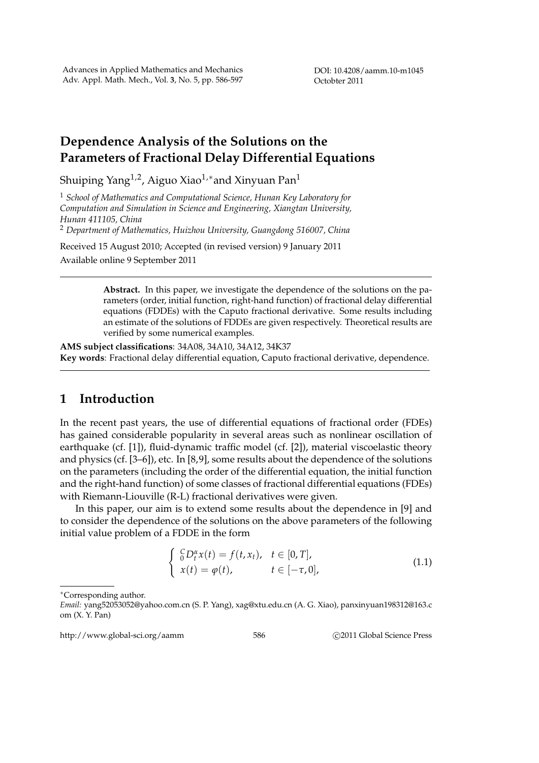DOI: 10.4208/aamm.10-m1045 Octobter 2011

# **Dependence Analysis of the Solutions on the Parameters of Fractional Delay Differential Equations**

Shuiping Yang1,2, Aiguo Xiao1,*∗*and Xinyuan Pan<sup>1</sup>

<sup>1</sup> *School of Mathematics and Computational Science, Hunan Key Laboratory for Computation and Simulation in Science and Engineering, Xiangtan University, Hunan 411105, China*

<sup>2</sup> *Department of Mathematics, Huizhou University, Guangdong 516007, China*

Received 15 August 2010; Accepted (in revised version) 9 January 2011 Available online 9 September 2011

> **Abstract.** In this paper, we investigate the dependence of the solutions on the parameters (order, initial function, right-hand function) of fractional delay differential equations (FDDEs) with the Caputo fractional derivative. Some results including an estimate of the solutions of FDDEs are given respectively. Theoretical results are verified by some numerical examples.

**AMS subject classifications**: 34A08, 34A10, 34A12, 34K37 **Key words**: Fractional delay differential equation, Caputo fractional derivative, dependence.

### **1 Introduction**

In the recent past years, the use of differential equations of fractional order (FDEs) has gained considerable popularity in several areas such as nonlinear oscillation of earthquake (cf. [1]), fluid-dynamic traffic model (cf. [2]), material viscoelastic theory and physics (cf. [3–6]), etc. In [8,9], some results about the dependence of the solutions on the parameters (including the order of the differential equation, the initial function and the right-hand function) of some classes of fractional differential equations (FDEs) with Riemann-Liouville (R-L) fractional derivatives were given.

In this paper, our aim is to extend some results about the dependence in [9] and to consider the dependence of the solutions on the above parameters of the following initial value problem of a FDDE in the form

$$
\begin{cases} G D_t^{\alpha} x(t) = f(t, x_t), & t \in [0, T], \\ x(t) = \varphi(t), & t \in [-\tau, 0], \end{cases}
$$
\n(1.1)

http://www.global-sci.org/aamm 586 **blog 2011** Global Science Press

*<sup>∗</sup>*Corresponding author.

*Email:* yang52053052@yahoo.com.cn (S. P. Yang), xag@xtu.edu.cn (A. G. Xiao), panxinyuan198312@163.c om (X. Y. Pan)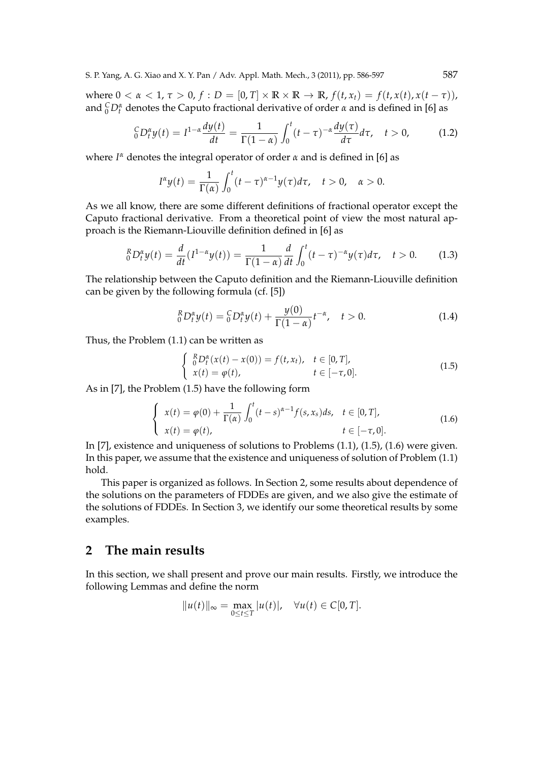S. P. Yang, A. G. Xiao and X. Y. Pan / Adv. Appl. Math. Mech., 3 (2011), pp. 586-597 587

where  $0 < \alpha < 1$ ,  $\tau > 0$ ,  $f : D = [0, T] \times \mathbb{R} \times \mathbb{R} \to \mathbb{R}$ ,  $f(t, x_t) = f(t, x(t), x(t - \tau))$ , and  ${}^C_0D_t^{\alpha}$  denotes the Caputo fractional derivative of order  $\alpha$  and is defined in [6] as

$$
{}_{0}^{C}D_{t}^{\alpha}y(t) = I^{1-\alpha}\frac{dy(t)}{dt} = \frac{1}{\Gamma(1-\alpha)}\int_{0}^{t}(t-\tau)^{-\alpha}\frac{dy(\tau)}{d\tau}d\tau, \quad t > 0,
$$
 (1.2)

where *I <sup>α</sup>* denotes the integral operator of order *α* and is defined in [6] as

$$
I^{\alpha}y(t)=\frac{1}{\Gamma(\alpha)}\int_0^t(t-\tau)^{\alpha-1}y(\tau)d\tau, \quad t>0, \quad \alpha>0.
$$

As we all know, there are some different definitions of fractional operator except the Caputo fractional derivative. From a theoretical point of view the most natural approach is the Riemann-Liouville definition defined in [6] as

$$
{}_{0}^{R}D_{t}^{\alpha}y(t) = \frac{d}{dt}(I^{1-\alpha}y(t)) = \frac{1}{\Gamma(1-\alpha)}\frac{d}{dt}\int_{0}^{t}(t-\tau)^{-\alpha}y(\tau)d\tau, \quad t > 0.
$$
 (1.3)

The relationship between the Caputo definition and the Riemann-Liouville definition can be given by the following formula (cf. [5])

$$
{}_{0}^{R}D_{t}^{\alpha}y(t) = {}_{0}^{C}D_{t}^{\alpha}y(t) + \frac{y(0)}{\Gamma(1-\alpha)}t^{-\alpha}, \quad t > 0.
$$
 (1.4)

Thus, the Problem (1.1) can be written as

$$
\begin{cases} \n R \, D_t^{\alpha}(x(t) - x(0)) = f(t, x_t), & t \in [0, T], \\
 x(t) = \varphi(t), & t \in [-\tau, 0].\n \end{cases} \tag{1.5}
$$

As in [7], the Problem (1.5) have the following form

$$
\begin{cases}\n x(t) = \varphi(0) + \frac{1}{\Gamma(\alpha)} \int_0^t (t - s)^{\alpha - 1} f(s, x_s) ds, & t \in [0, T], \\
 x(t) = \varphi(t), & t \in [-\tau, 0].\n\end{cases}
$$
\n(1.6)

In [7], existence and uniqueness of solutions to Problems (1.1), (1.5), (1.6) were given. In this paper, we assume that the existence and uniqueness of solution of Problem (1.1) hold.

This paper is organized as follows. In Section 2, some results about dependence of the solutions on the parameters of FDDEs are given, and we also give the estimate of the solutions of FDDEs. In Section 3, we identify our some theoretical results by some examples.

#### **2 The main results**

In this section, we shall present and prove our main results. Firstly, we introduce the following Lemmas and define the norm

$$
||u(t)||_{\infty} = \max_{0 \leq t \leq T} |u(t)|, \quad \forall u(t) \in C[0,T].
$$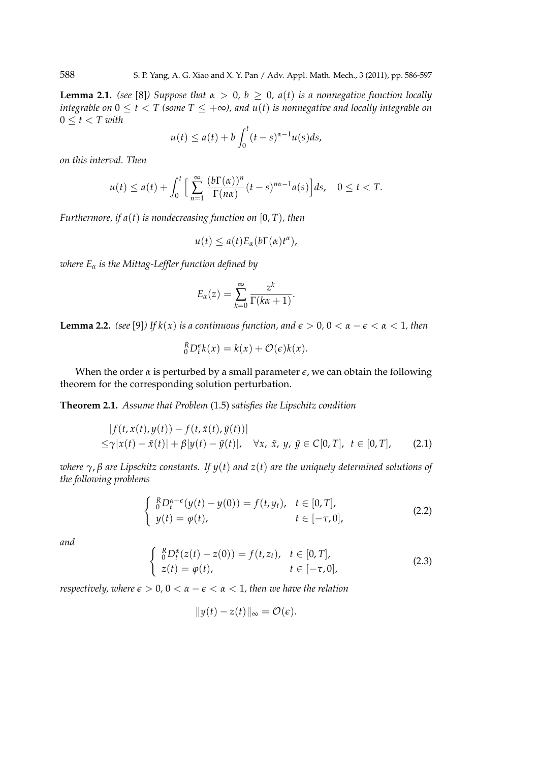**Lemma 2.1.** *(see* [8]*)* Suppose that  $\alpha > 0$ ,  $b \ge 0$ ,  $a(t)$  is a nonnegative function locally *integrable on*  $0 \le t < T$  (some  $T \le +\infty$ ), and  $u(t)$  is nonnegative and locally integrable on 0 *≤ t < T with*

$$
u(t) \le a(t) + b \int_0^t (t-s)^{\alpha-1} u(s) ds,
$$

*on this interval. Then*

$$
u(t) \le a(t) + \int_0^t \Big[ \sum_{n=1}^\infty \frac{(b\Gamma(\alpha))^n}{\Gamma(n\alpha)} (t-s)^{n\alpha-1} a(s) \Big] ds, \quad 0 \le t < T.
$$

*Furthermore, if a*(*t*) *is nondecreasing function on* [0, *T*)*, then*

$$
u(t) \leq a(t) E_{\alpha}(b\Gamma(\alpha)t^{\alpha}),
$$

*where E<sup>α</sup> is the Mittag-Leffler function defined by*

$$
E_{\alpha}(z) = \sum_{k=0}^{\infty} \frac{z^k}{\Gamma(k\alpha + 1)}.
$$

**Lemma 2.2.** *(see* [9]*)* If  $k(x)$  *is a continuous function, and*  $\epsilon > 0$ ,  $0 < \alpha - \epsilon < \alpha < 1$ *, then* 

$$
{}_{0}^{R}D_{t}^{\epsilon}k(x) = k(x) + \mathcal{O}(\epsilon)k(x).
$$

When the order  $\alpha$  is perturbed by a small parameter  $\epsilon$ , we can obtain the following theorem for the corresponding solution perturbation.

**Theorem 2.1.** *Assume that Problem* (1.5) *satisfies the Lipschitz condition*

$$
|f(t, x(t), y(t)) - f(t, \tilde{x}(t), \tilde{y}(t))|
$$
  
\n
$$
\leq \gamma |x(t) - \tilde{x}(t)| + \beta |y(t) - \tilde{y}(t)|, \quad \forall x, \tilde{x}, y, \tilde{y} \in C[0, T], \quad t \in [0, T], \quad (2.1)
$$

*where γ*, *β are Lipschitz constants. If y*(*t*) *and z*(*t*) *are the uniquely determined solutions of the following problems*

$$
\begin{cases} \n R D_t^{\alpha-\epsilon}(y(t)-y(0)) = f(t,y_t), & t \in [0,T], \\
 y(t) = \varphi(t), & t \in [-\tau,0],\n \end{cases} \tag{2.2}
$$

*and*

$$
\begin{cases} \n\frac{R}{0}D_t^{\alpha}(z(t) - z(0)) = f(t, z_t), & t \in [0, T], \\
z(t) = \varphi(t), & t \in [-\tau, 0],\n\end{cases} \tag{2.3}
$$

*respectively, where*  $\epsilon > 0$ ,  $0 < \alpha - \epsilon < \alpha < 1$ , then we have the relation

$$
||y(t) - z(t)||_{\infty} = \mathcal{O}(\epsilon).
$$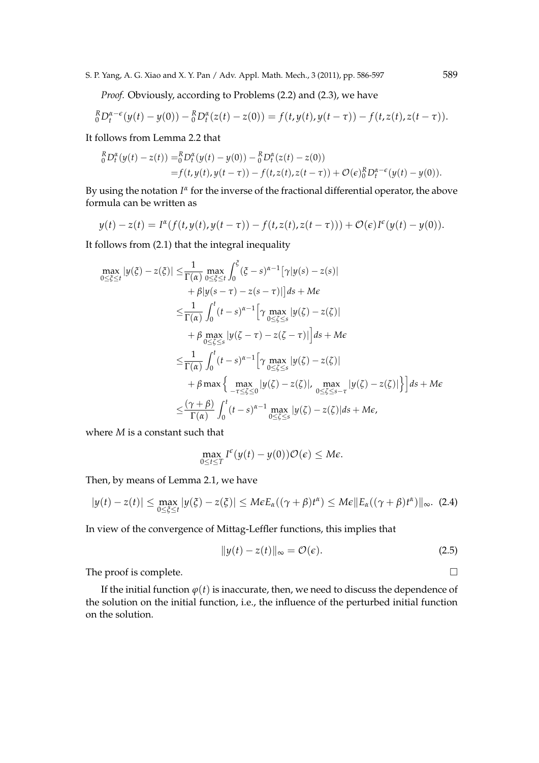S. P. Yang, A. G. Xiao and X. Y. Pan / Adv. Appl. Math. Mech., 3 (2011), pp. 586-597 589

*Proof.* Obviously, according to Problems (2.2) and (2.3), we have

$$
{}_{0}^{R}D_{t}^{\alpha-\epsilon}(y(t)-y(0)) - {}_{0}^{R}D_{t}^{\alpha}(z(t)-z(0)) = f(t,y(t),y(t-\tau)) - f(t,z(t),z(t-\tau)).
$$

It follows from Lemma 2.2 that

$$
\begin{aligned} \n_{0}^{R}D_{t}^{\alpha}(y(t)-z(t)) &=_{0}^{R}D_{t}^{\alpha}(y(t)-y(0)) - \,_{0}^{R}D_{t}^{\alpha}(z(t)-z(0)) \\ \n&= f(t,y(t),y(t-\tau)) - f(t,z(t),z(t-\tau)) + \mathcal{O}(\epsilon)_{0}^{R}D_{t}^{\alpha-\epsilon}(y(t)-y(0)). \n\end{aligned}
$$

By using the notation *I<sup>«</sup>* for the inverse of the fractional differential operator, the above formula can be written as

$$
y(t) - z(t) = I^{\alpha}(f(t, y(t), y(t - \tau)) - f(t, z(t), z(t - \tau))) + \mathcal{O}(\epsilon)I^{\epsilon}(y(t) - y(0)).
$$

It follows from (2.1) that the integral inequality

$$
\max_{0 \leq \xi \leq t} |y(\xi) - z(\xi)| \leq \frac{1}{\Gamma(\alpha)} \max_{0 \leq \xi \leq t} \int_0^{\xi} (\xi - s)^{\alpha - 1} [\gamma |y(s) - z(s)|
$$
  
+  $\beta |y(s - \tau) - z(s - \tau)|] ds + M\epsilon$   

$$
\leq \frac{1}{\Gamma(\alpha)} \int_0^t (t - s)^{\alpha - 1} [\gamma \max_{0 \leq \xi \leq s} |y(\zeta) - z(\zeta)|
$$
  
+  $\beta \max_{0 \leq \xi \leq s} |y(\zeta - \tau) - z(\zeta - \tau)|] ds + M\epsilon$   

$$
\leq \frac{1}{\Gamma(\alpha)} \int_0^t (t - s)^{\alpha - 1} [\gamma \max_{0 \leq \xi \leq s} |y(\zeta) - z(\zeta)|
$$
  
+  $\beta \max \left\{ \max_{-\tau \leq \xi \leq 0} |y(\zeta) - z(\zeta)|, \max_{0 \leq \xi \leq s - \tau} |y(\zeta) - z(\zeta)| \right\} ds + M\epsilon$   

$$
\leq \frac{(\gamma + \beta)}{\Gamma(\alpha)} \int_0^t (t - s)^{\alpha - 1} \max_{0 \leq \xi \leq s} |y(\zeta) - z(\zeta)| ds + M\epsilon,
$$

where *M* is a constant such that

$$
\max_{0\leq t\leq T} I^{\epsilon}(y(t)-y(0))\mathcal{O}(\epsilon) \leq M\epsilon.
$$

Then, by means of Lemma 2.1, we have

$$
|y(t)-z(t)| \leq \max_{0\leq \xi\leq t} |y(\xi)-z(\xi)| \leq M \epsilon E_{\alpha}((\gamma+\beta)t^{\alpha}) \leq M \epsilon \|E_{\alpha}((\gamma+\beta)t^{\alpha})\|_{\infty}.
$$
 (2.4)

In view of the convergence of Mittag-Leffler functions, this implies that

$$
||y(t) - z(t)||_{\infty} = \mathcal{O}(\epsilon).
$$
 (2.5)

The proof is complete.  $\Box$ 

If the initial function  $\varphi(t)$  is inaccurate, then, we need to discuss the dependence of the solution on the initial function, i.e., the influence of the perturbed initial function on the solution.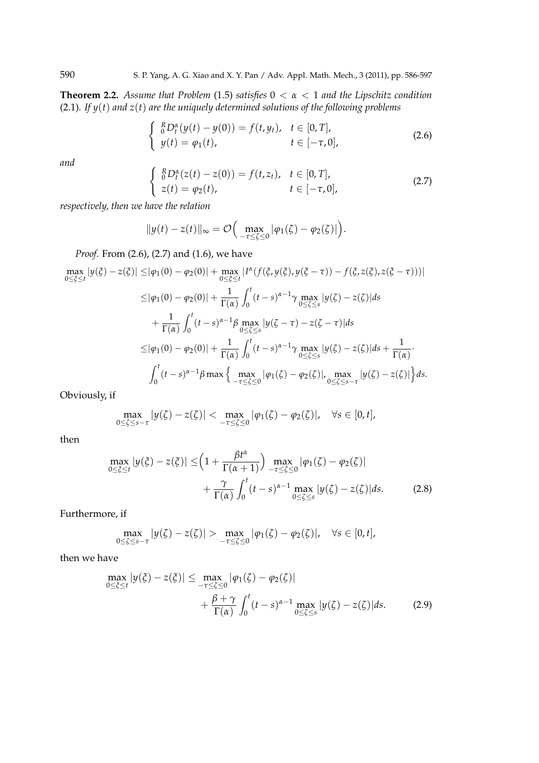**Theorem 2.2.** *Assume that Problem* (1.5) *satisfies* 0 *< α <* 1 *and the Lipschitz condition* (2.1)*. If y*(*t*) *and z*(*t*) *are the uniquely determined solutions of the following problems*

$$
\begin{cases} \n\frac{R}{0}D_t^{\alpha}(y(t) - y(0)) = f(t, y_t), & t \in [0, T], \\
y(t) = \varphi_1(t), & t \in [-\tau, 0],\n\end{cases} \tag{2.6}
$$

*and*

$$
\begin{cases} \n{}_{0}^{R}D_{t}^{\alpha}(z(t)-z(0)) = f(t,z_{t}), & t \in [0,T], \\
z(t) = \varphi_{2}(t), & t \in [-\tau,0],\n\end{cases} \tag{2.7}
$$

*respectively, then we have the relation*

$$
||y(t)-z(t)||_{\infty} = \mathcal{O}\Big(\max_{-\tau\leq \zeta\leq 0} |\varphi_1(\zeta)-\varphi_2(\zeta)|\Big).
$$

*Proof.* From (2.6), (2.7) and (1.6), we have

{ *R*

$$
\max_{0 \leq \xi \leq t} |y(\xi) - z(\xi)| \leq |\varphi_1(0) - \varphi_2(0)| + \max_{0 \leq \xi \leq t} |I^{\alpha}(f(\xi, y(\xi), y(\xi - \tau)) - f(\xi, z(\xi), z(\xi - \tau)))|
$$
  
\n
$$
\leq |\varphi_1(0) - \varphi_2(0)| + \frac{1}{\Gamma(\alpha)} \int_0^t (t - s)^{\alpha - 1} \gamma \max_{0 \leq \xi \leq s} |y(\zeta) - z(\zeta)| ds
$$
  
\n
$$
+ \frac{1}{\Gamma(\alpha)} \int_0^t (t - s)^{\alpha - 1} \beta \max_{0 \leq \xi \leq s} |y(\zeta - \tau) - z(\zeta - \tau)| ds
$$
  
\n
$$
\leq |\varphi_1(0) - \varphi_2(0)| + \frac{1}{\Gamma(\alpha)} \int_0^t (t - s)^{\alpha - 1} \gamma \max_{0 \leq \xi \leq s} |y(\zeta) - z(\zeta)| ds + \frac{1}{\Gamma(\alpha)}.
$$
  
\n
$$
\int_0^t (t - s)^{\alpha - 1} \beta \max \left\{ \max_{-\tau \leq \xi \leq 0} |\varphi_1(\zeta) - \varphi_2(\zeta)|, \max_{0 \leq \xi \leq s - \tau} |y(\zeta) - z(\zeta)| \right\} ds.
$$

Obviously, if

$$
\max_{0\leq\zeta\leq s-\tau}|y(\zeta)-z(\zeta)|<\max_{-\tau\leq\zeta\leq 0}|\varphi_1(\zeta)-\varphi_2(\zeta)|,\quad\forall s\in[0,t],
$$

then

$$
\max_{0 \le \xi \le t} |y(\xi) - z(\xi)| \le \left(1 + \frac{\beta t^{\alpha}}{\Gamma(\alpha + 1)}\right) \max_{-\tau \le \zeta \le 0} |\varphi_1(\zeta) - \varphi_2(\zeta)| + \frac{\gamma}{\Gamma(\alpha)} \int_0^t (t - s)^{\alpha - 1} \max_{0 \le \zeta \le s} |y(\zeta) - z(\zeta)| ds. \tag{2.8}
$$

Furthermore, if

$$
\max_{0\leq\zeta\leq s-\tau}|y(\zeta)-z(\zeta)|>\max_{-\tau\leq\zeta\leq 0}|\varphi_1(\zeta)-\varphi_2(\zeta)|,\quad \forall s\in[0,t],
$$

then we have

$$
\max_{0 \le \xi \le t} |y(\xi) - z(\xi)| \le \max_{-\tau \le \zeta \le 0} |\varphi_1(\zeta) - \varphi_2(\zeta)|
$$
  
+ 
$$
\frac{\beta + \gamma}{\Gamma(\alpha)} \int_0^t (t - s)^{\alpha - 1} \max_{0 \le \zeta \le s} |y(\zeta) - z(\zeta)| ds. \tag{2.9}
$$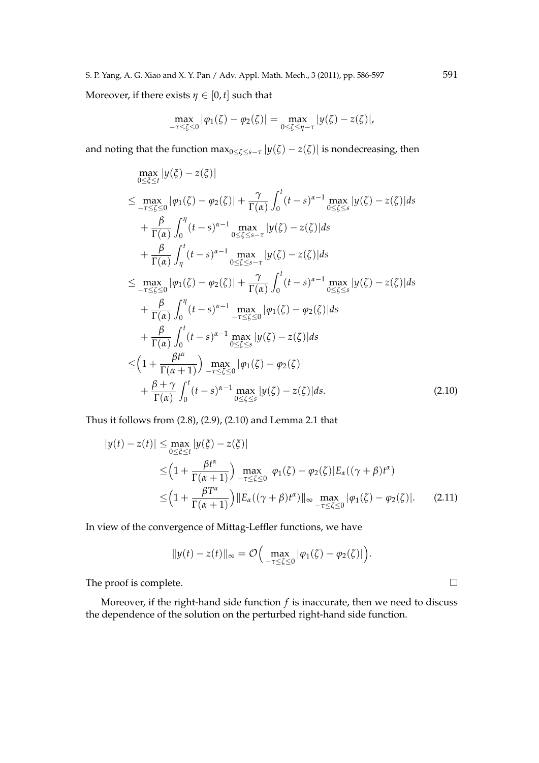Moreover, if there exists  $\eta \in [0, t]$  such that

$$
\max_{-\tau \leq \zeta \leq 0} |\varphi_1(\zeta) - \varphi_2(\zeta)| = \max_{0 \leq \zeta \leq \eta - \tau} |y(\zeta) - z(\zeta)|,
$$

and noting that the function  $\max_{0\leq \zeta\leq s-\tau}|y(\zeta)-z(\zeta)|$  is nondecreasing, then

$$
\max_{0 \leq \xi \leq t} |y(\xi) - z(\xi)|
$$
\n
$$
\leq \max_{-\tau \leq \xi \leq 0} |\varphi_1(\zeta) - \varphi_2(\zeta)| + \frac{\gamma}{\Gamma(\alpha)} \int_0^t (t-s)^{\alpha-1} \max_{0 \leq \xi \leq s} |y(\zeta) - z(\zeta)| ds
$$
\n
$$
+ \frac{\beta}{\Gamma(\alpha)} \int_0^{\eta} (t-s)^{\alpha-1} \max_{0 \leq \xi \leq s-\tau} |y(\zeta) - z(\zeta)| ds
$$
\n
$$
+ \frac{\beta}{\Gamma(\alpha)} \int_{\eta}^t (t-s)^{\alpha-1} \max_{0 \leq \xi \leq s-\tau} |y(\zeta) - z(\zeta)| ds
$$
\n
$$
\leq \max_{-\tau \leq \xi \leq 0} |\varphi_1(\zeta) - \varphi_2(\zeta)| + \frac{\gamma}{\Gamma(\alpha)} \int_0^t (t-s)^{\alpha-1} \max_{0 \leq \xi \leq s} |y(\zeta) - z(\zeta)| ds
$$
\n
$$
+ \frac{\beta}{\Gamma(\alpha)} \int_0^{\eta} (t-s)^{\alpha-1} \max_{0 \leq \xi \leq s} |\varphi_1(\zeta) - \varphi_2(\zeta)| ds
$$
\n
$$
+ \frac{\beta}{\Gamma(\alpha)} \int_0^t (t-s)^{\alpha-1} \max_{0 \leq \xi \leq s} |y(\zeta) - z(\zeta)| ds
$$
\n
$$
\leq \left(1 + \frac{\beta t^{\alpha}}{\Gamma(\alpha+1)}\right) \max_{-\tau \leq \zeta \leq 0} |\varphi_1(\zeta) - \varphi_2(\zeta)|
$$
\n
$$
+ \frac{\beta + \gamma}{\Gamma(\alpha)} \int_0^t (t-s)^{\alpha-1} \max_{0 \leq \xi \leq s} |y(\zeta) - z(\zeta)| ds. \tag{2.10}
$$

Thus it follows from (2.8), (2.9), (2.10) and Lemma 2.1 that

$$
|y(t) - z(t)| \le \max_{0 \le \xi \le t} |y(\xi) - z(\xi)|
$$
  
\n
$$
\le \left(1 + \frac{\beta t^{\alpha}}{\Gamma(\alpha + 1)}\right) \max_{-\tau \le \xi \le 0} |\varphi_1(\zeta) - \varphi_2(\zeta)| E_{\alpha}((\gamma + \beta)t^{\alpha})
$$
  
\n
$$
\le \left(1 + \frac{\beta T^{\alpha}}{\Gamma(\alpha + 1)}\right) \|E_{\alpha}((\gamma + \beta)t^{\alpha})\|_{\infty} \max_{-\tau \le \xi \le 0} |\varphi_1(\zeta) - \varphi_2(\zeta)|. \tag{2.11}
$$

In view of the convergence of Mittag-Leffler functions, we have

$$
||y(t)-z(t)||_{\infty}=\mathcal{O}\Big(\max_{-\tau\leq \zeta\leq 0}|\varphi_1(\zeta)-\varphi_2(\zeta)|\Big).
$$

The proof is complete.  $\Box$ 

Moreover, if the right-hand side function *f* is inaccurate, then we need to discuss the dependence of the solution on the perturbed right-hand side function.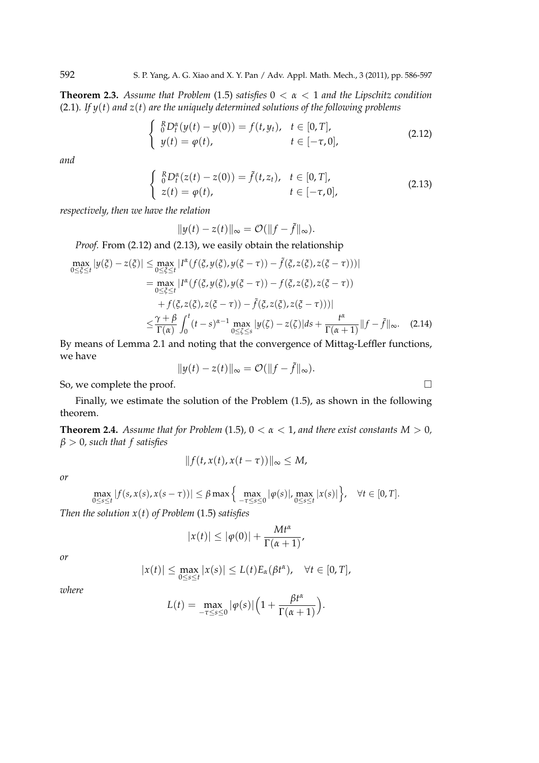**Theorem 2.3.** *Assume that Problem* (1.5) *satisfies* 0 *< α <* 1 *and the Lipschitz condition* (2.1)*. If y*(*t*) *and z*(*t*) *are the uniquely determined solutions of the following problems*

$$
\begin{cases}\n R_{0}R_{t}^{x}(y(t) - y(0)) = f(t, y_{t}), & t \in [0, T], \\
 y(t) = \varphi(t), & t \in [-\tau, 0],\n\end{cases}
$$
\n(2.12)

*and*

$$
\begin{cases} \n\frac{R}{0}D_t^{\alpha}(z(t) - z(0)) = \tilde{f}(t, z_t), & t \in [0, T], \\
z(t) = \varphi(t), & t \in [-\tau, 0],\n\end{cases} \tag{2.13}
$$

*respectively, then we have the relation*

$$
||y(t) - z(t)||_{\infty} = \mathcal{O}(||f - \tilde{f}||_{\infty}).
$$

*Proof.* From (2.12) and (2.13), we easily obtain the relationship

$$
\max_{0 \leq \xi \leq t} |y(\xi) - z(\xi)| \leq \max_{0 \leq \xi \leq t} |I^{\alpha}(f(\xi, y(\xi), y(\xi - \tau)) - \tilde{f}(\xi, z(\xi), z(\xi - \tau)))|
$$
\n
$$
= \max_{0 \leq \xi \leq t} |I^{\alpha}(f(\xi, y(\xi), y(\xi - \tau)) - f(\xi, z(\xi), z(\xi - \tau))|
$$
\n
$$
+ f(\xi, z(\xi), z(\xi - \tau)) - \tilde{f}(\xi, z(\xi), z(\xi - \tau)))|
$$
\n
$$
\leq \frac{\gamma + \beta}{\Gamma(\alpha)} \int_0^t (t - s)^{\alpha - 1} \max_{0 \leq \xi \leq s} |y(\xi) - z(\xi)| ds + \frac{t^{\alpha}}{\Gamma(\alpha + 1)} ||f - \tilde{f}||_{\infty}.
$$
\n(2.14)

By means of Lemma 2.1 and noting that the convergence of Mittag-Leffler functions, we have

$$
||y(t) - z(t)||_{\infty} = \mathcal{O}(||f - \tilde{f}||_{\infty}).
$$

So, we complete the proof.  $\Box$ 

Finally, we estimate the solution of the Problem (1.5), as shown in the following theorem.

**Theorem 2.4.** *Assume that for Problem* (1.5),  $0 < \alpha < 1$ , and there exist constants  $M > 0$ , *β >* 0*, such that f satisfies*

$$
||f(t, x(t), x(t-\tau))||_{\infty} \leq M,
$$

*or*

$$
\max_{0\leq s\leq t}|f(s,x(s),x(s-\tau))|\leq \beta \max\left\{\max_{-\tau\leq s\leq 0}|\varphi(s)|,\max_{0\leq s\leq t}|x(s)|\right\},\quad \forall t\in[0,T].
$$

*Then the solution x*(*t*) *of Problem* (1.5) *satisfies*

$$
|x(t)| \le |\varphi(0)| + \frac{Mt^{\alpha}}{\Gamma(\alpha+1)},
$$

*or*

$$
|x(t)| \leq \max_{0 \leq s \leq t} |x(s)| \leq L(t) E_{\alpha}(\beta t^{\alpha}), \quad \forall t \in [0, T],
$$

*where*

$$
L(t) = \max_{-\tau \le s \le 0} |\varphi(s)| \Big( 1 + \frac{\beta t^{\alpha}}{\Gamma(\alpha+1)} \Big).
$$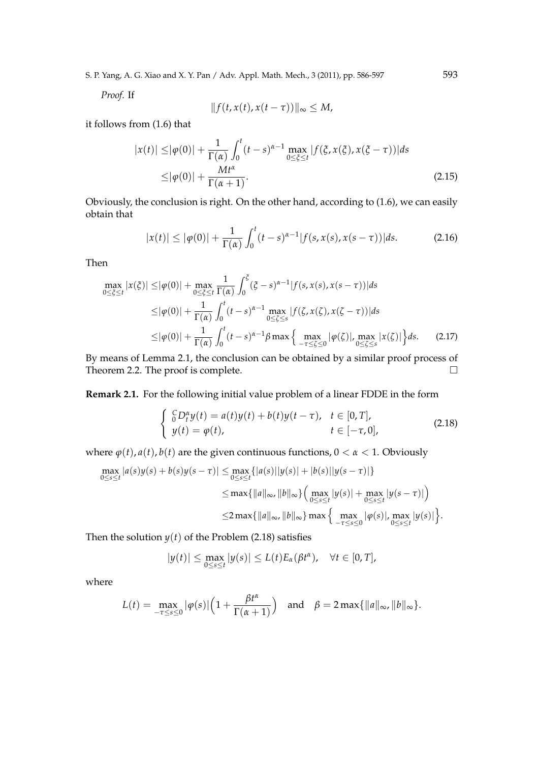S. P. Yang, A. G. Xiao and X. Y. Pan / Adv. Appl. Math. Mech., 3 (2011), pp. 586-597 593

*Proof.* If

$$
||f(t, x(t), x(t-\tau))||_{\infty} \leq M,
$$

it follows from (1.6) that

$$
|x(t)| \le |\varphi(0)| + \frac{1}{\Gamma(\alpha)} \int_0^t (t-s)^{\alpha-1} \max_{0 \le \xi \le t} |f(\xi, x(\xi), x(\xi - \tau))| ds
$$
  
 
$$
\le |\varphi(0)| + \frac{Mt^{\alpha}}{\Gamma(\alpha + 1)}.
$$
 (2.15)

Obviously, the conclusion is right. On the other hand, according to (1.6), we can easily obtain that

$$
|x(t)| \le |\varphi(0)| + \frac{1}{\Gamma(\alpha)} \int_0^t (t-s)^{\alpha-1} |f(s, x(s), x(s-\tau))| ds.
$$
 (2.16)

Then

$$
\max_{0 \leq \xi \leq t} |x(\xi)| \leq |\varphi(0)| + \max_{0 \leq \xi \leq t} \frac{1}{\Gamma(\alpha)} \int_0^{\xi} (\xi - s)^{\alpha - 1} |f(s, x(s), x(s - \tau))| ds
$$
  
\n
$$
\leq |\varphi(0)| + \frac{1}{\Gamma(\alpha)} \int_0^t (t - s)^{\alpha - 1} \max_{0 \leq \xi \leq s} |f(\zeta, x(\zeta), x(\zeta - \tau))| ds
$$
  
\n
$$
\leq |\varphi(0)| + \frac{1}{\Gamma(\alpha)} \int_0^t (t - s)^{\alpha - 1} \beta \max \left\{ \max_{-\tau \leq \xi \leq 0} |\varphi(\zeta)|, \max_{0 \leq \xi \leq s} |x(\zeta)| \right\} ds.
$$
 (2.17)

By means of Lemma 2.1, the conclusion can be obtained by a similar proof process of Theorem 2.2. The proof is complete.  $\Box$ 

**Remark 2.1.** For the following initial value problem of a linear FDDE in the form

$$
\begin{cases} \n\int_{0}^{C} D_{t}^{\alpha} y(t) = a(t)y(t) + b(t)y(t-\tau), & t \in [0, T], \\
y(t) = \varphi(t), & t \in [-\tau, 0],\n\end{cases}
$$
\n(2.18)

where  $\varphi(t)$ ,  $a(t)$ ,  $b(t)$  are the given continuous functions,  $0 < \alpha < 1$ . Obviously

$$
\max_{0 \le s \le t} |a(s)y(s) + b(s)y(s - \tau)| \le \max_{0 \le s \le t} \{|a(s)||y(s)| + |b(s)||y(s - \tau)|\}
$$
  

$$
\le \max\{||a||_{\infty}, ||b||_{\infty}\} \Big( \max_{0 \le s \le t} |y(s)| + \max_{0 \le s \le t} |y(s - \tau)| \Big)
$$
  

$$
\le 2 \max\{||a||_{\infty}, ||b||_{\infty}\} \max\{ \max_{-\tau \le s \le 0} |\varphi(s)|, \max_{0 \le s \le t} |y(s)| \}.
$$

Then the solution  $y(t)$  of the Problem (2.18) satisfies

$$
|y(t)| \leq \max_{0 \leq s \leq t} |y(s)| \leq L(t) E_{\alpha}(\beta t^{\alpha}), \quad \forall t \in [0, T],
$$

where

$$
L(t) = \max_{-\tau \leq s \leq 0} |\varphi(s)| \left( 1 + \frac{\beta t^{\alpha}}{\Gamma(\alpha + 1)} \right) \quad \text{and} \quad \beta = 2 \max\{ ||a||_{\infty}, ||b||_{\infty} \}.
$$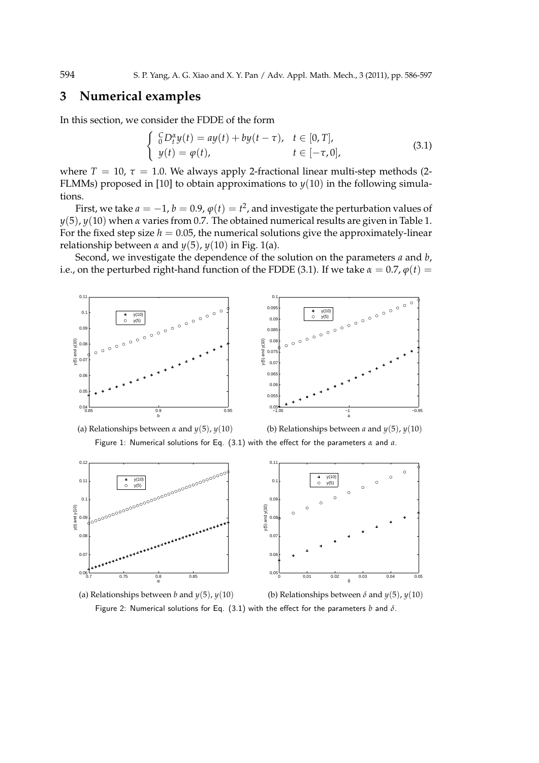#### **3 Numerical examples**

In this section, we consider the FDDE of the form

$$
\begin{cases}\n\int_{0}^{C} D_{t}^{\alpha} y(t) = ay(t) + by(t - \tau), & t \in [0, T], \\
y(t) = \varphi(t), & t \in [-\tau, 0],\n\end{cases}
$$
\n(3.1)

where  $T = 10$ ,  $\tau = 1.0$ . We always apply 2-fractional linear multi-step methods (2-FLMMs) proposed in [10] to obtain approximations to  $y(10)$  in the following simulations.

First, we take  $a = -1$ ,  $b = 0.9$ ,  $\varphi(t) = t^2$ , and investigate the perturbation values of *y*(5), *y*(10) when *α* varies from 0.7. The obtained numerical results are given in Table 1. For the fixed step size  $h = 0.05$ , the numerical solutions give the approximately-linear relationship between  $\alpha$  and  $\gamma(5)$ ,  $\gamma(10)$  in Fig. 1(a).

Second, we investigate the dependence of the solution on the parameters *a* and *b*, i.e., on the perturbed right-hand function of the FDDE (3.1). If we take  $\alpha = 0.7$ ,  $\varphi(t) =$ 





(a) Relationships between *α* and  $y(5)$ ,  $y(10)$  (b) Relationships between *a* and  $y(5)$ ,  $y(10)$ Figure 1: Numerical solutions for Eq. (3.1) with the effect for the parameters *α* and *a*.





(a) Relationships between *b* and  $y(5)$ ,  $y(10)$  (b) Relationships between  $\delta$  and  $y(5)$ ,  $y(10)$ Figure 2: Numerical solutions for Eq. (3.1) with the effect for the parameters *b* and *δ*.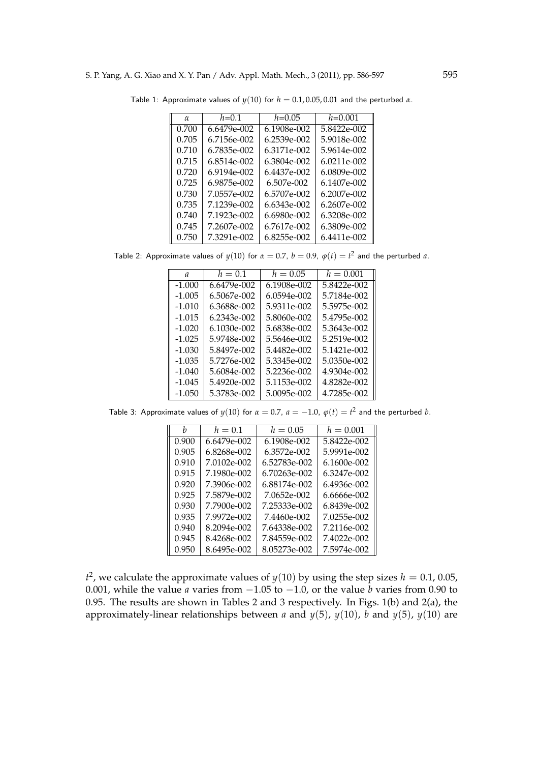| α     | $h=0.1$     | $h = 0.05$  | $h = 0.001$   |
|-------|-------------|-------------|---------------|
| 0.700 | 6.6479e-002 | 6.1908e-002 | 5.8422e-002   |
| 0.705 | 6.7156e-002 | 6.2539e-002 | 5.9018e-002   |
| 0.710 | 6.7835e-002 | 6.3171e-002 | 5.9614e-002   |
| 0.715 | 6.8514e-002 | 6.3804e-002 | $6.0211e-002$ |
| 0.720 | 6.9194e-002 | 6.4437e-002 | 6.0809e-002   |
| 0.725 | 6.9875e-002 | 6.507e-002  | 6.1407e-002   |
| 0.730 | 7.0557e-002 | 6.5707e-002 | 6.2007e-002   |
| 0.735 | 7.1239e-002 | 6.6343e-002 | 6.2607e-002   |
| 0.740 | 7.1923e-002 | 6.6980e-002 | 6.3208e-002   |
| 0.745 | 7.2607e-002 | 6.7617e-002 | 6.3809e-002   |
| 0.750 | 7.3291e-002 | 6.8255e-002 | 6.4411e-002   |

Table 1: Approximate values of  $y(10)$  for  $h = 0.1, 0.05, 0.01$  and the perturbed  $\alpha$ .

Table 2: Approximate values of  $y(10)$  for  $\alpha = 0.7$ ,  $b = 0.9$ ,  $\varphi(t) = t^2$  and the perturbed  $a$ .

| $\mathfrak{a}$ | $h = 0.1$   | $h = 0.05$  | $h = 0.001$ |
|----------------|-------------|-------------|-------------|
| $-1.000$       | 6.6479e-002 | 6.1908e-002 | 5.8422e-002 |
| $-1.005$       | 6.5067e-002 | 6.0594e-002 | 5.7184e-002 |
| $-1.010$       | 6.3688e-002 | 5.9311e-002 | 5.5975e-002 |
| $-1.015$       | 6.2343e-002 | 5.8060e-002 | 5.4795e-002 |
| $-1.020$       | 6.1030e-002 | 5.6838e-002 | 5.3643e-002 |
| $-1.025$       | 5.9748e-002 | 5.5646e-002 | 5.2519e-002 |
| $-1.030$       | 5.8497e-002 | 5.4482e-002 | 5.1421e-002 |
| $-1.035$       | 5.7276e-002 | 5.3345e-002 | 5.0350e-002 |
| $-1.040$       | 5.6084e-002 | 5.2236e-002 | 4.9304e-002 |
| $-1.045$       | 5.4920e-002 | 5.1153e-002 | 4.8282e-002 |
| $-1.050$       | 5.3783e-002 | 5.0095e-002 | 4.7285e-002 |

Table 3: Approximate values of  $y(10)$  for  $\alpha = 0.7$ ,  $a = -1.0$ ,  $\varphi(t) = t^2$  and the perturbed *b*.

| h     | $h = 0.1$     | $h = 0.05$   | $h = 0.001$ |
|-------|---------------|--------------|-------------|
| 0.900 | $6.6479e-002$ | 6.1908e-002  | 5.8422e-002 |
| 0.905 | 6.8268e-002   | 6.3572e-002  | 5.9991e-002 |
| 0.910 | 7.0102e-002   | 6.52783e-002 | 6.1600e-002 |
| 0.915 | 7.1980e-002   | 6.70263e-002 | 6.3247e-002 |
| 0.920 | 7.3906e-002   | 6.88174e-002 | 6.4936e-002 |
| 0.925 | 7.5879e-002   | 7.0652e-002  | 6.6666e-002 |
| 0.930 | 7.7900e-002   | 7.25333e-002 | 6.8439e-002 |
| 0.935 | 7.9972e-002   | 7.4460e-002  | 7.0255e-002 |
| 0.940 | 8.2094e-002   | 7.64338e-002 | 7.2116e-002 |
| 0.945 | 8.4268e-002   | 7.84559e-002 | 7.4022e-002 |
| 0.950 | 8.6495e-002   | 8.05273e-002 | 7.5974e-002 |

 $t^2$ , we calculate the approximate values of  $y(10)$  by using the step sizes  $h = 0.1$ , 0.05, 0.001, while the value *a* varies from *−*1.05 to *−*1.0, or the value *b* varies from 0.90 to 0.95. The results are shown in Tables 2 and 3 respectively. In Figs. 1(b) and 2(a), the approximately-linear relationships between *a* and  $y(5)$ ,  $y(10)$ , *b* and  $y(5)$ ,  $y(10)$  are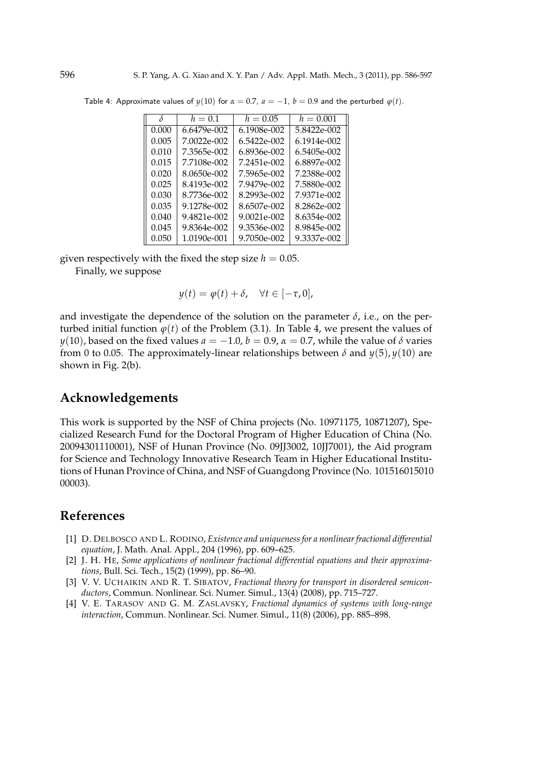| δ     | $h=0.1$       | $h = 0.05$  | $h = 0.001$ |
|-------|---------------|-------------|-------------|
| 0.000 | $6.6479e-002$ | 6.1908e-002 | 5.8422e-002 |
| 0.005 | 7.0022e-002   | 6.5422e-002 | 6.1914e-002 |
| 0.010 | 7.3565e-002   | 6.8936e-002 | 6.5405e-002 |
| 0.015 | 7.7108e-002   | 7.2451e-002 | 6.8897e-002 |
| 0.020 | 8.0650e-002   | 7.5965e-002 | 7.2388e-002 |
| 0.025 | 8.4193e-002   | 7.9479e-002 | 7.5880e-002 |
| 0.030 | 8.7736e-002   | 8.2993e-002 | 7.9371e-002 |
| 0.035 | 9.1278e-002   | 8.6507e-002 | 8.2862e-002 |
| 0.040 | 9.4821e-002   | 9.0021e-002 | 8.6354e-002 |
| 0.045 | 9.8364e-002   | 9.3536e-002 | 8.9845e-002 |
| 0.050 | 1.0190e-001   | 9.7050e-002 | 9.3337e-002 |

Table 4: Approximate values of  $y(10)$  for  $\alpha = 0.7$ ,  $a = -1$ ,  $b = 0.9$  and the perturbed  $\varphi(t)$ .

given respectively with the fixed the step size  $h = 0.05$ .

Finally, we suppose

$$
y(t) = \varphi(t) + \delta, \quad \forall t \in [-\tau, 0],
$$

and investigate the dependence of the solution on the parameter  $\delta$ , i.e., on the perturbed initial function  $\varphi(t)$  of the Problem (3.1). In Table 4, we present the values of *y*(10), based on the fixed values  $a = -1.0$ ,  $b = 0.9$ ,  $\alpha = 0.7$ , while the value of  $\delta$  varies from 0 to 0.05. The approximately-linear relationships between  $\delta$  and  $y(5)$ ,  $y(10)$  are shown in Fig. 2(b).

# **Acknowledgements**

This work is supported by the NSF of China projects (No. 10971175, 10871207), Specialized Research Fund for the Doctoral Program of Higher Education of China (No. 20094301110001), NSF of Hunan Province (No. 09JJ3002, 10JJ7001), the Aid program for Science and Technology Innovative Research Team in Higher Educational Institutions of Hunan Province of China, and NSF of Guangdong Province (No. 101516015010 00003).

### **References**

- [1] D. DELBOSCO AND L. RODINO, *Existence and uniqueness for a nonlinear fractional differential equation*, J. Math. Anal. Appl., 204 (1996), pp. 609–625.
- [2] J. H. HE, *Some applications of nonlinear fractional differential equations and their approximations*, Bull. Sci. Tech., 15(2) (1999), pp. 86–90.
- [3] V. V. UCHAIKIN AND R. T. SIBATOV, *Fractional theory for transport in disordered semiconductors*, Commun. Nonlinear. Sci. Numer. Simul., 13(4) (2008), pp. 715–727.
- [4] V. E. TARASOV AND G. M. ZASLAVSKY, *Fractional dynamics of systems with long-range interaction*, Commun. Nonlinear. Sci. Numer. Simul., 11(8) (2006), pp. 885–898.